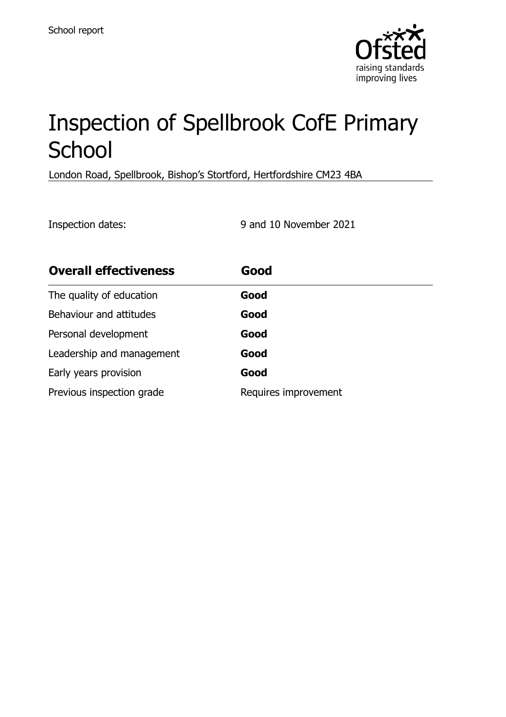

# Inspection of Spellbrook CofE Primary **School**

London Road, Spellbrook, Bishop's Stortford, Hertfordshire CM23 4BA

Inspection dates: 9 and 10 November 2021

| <b>Overall effectiveness</b> | Good                 |
|------------------------------|----------------------|
| The quality of education     | Good                 |
| Behaviour and attitudes      | Good                 |
| Personal development         | Good                 |
| Leadership and management    | Good                 |
| Early years provision        | Good                 |
| Previous inspection grade    | Requires improvement |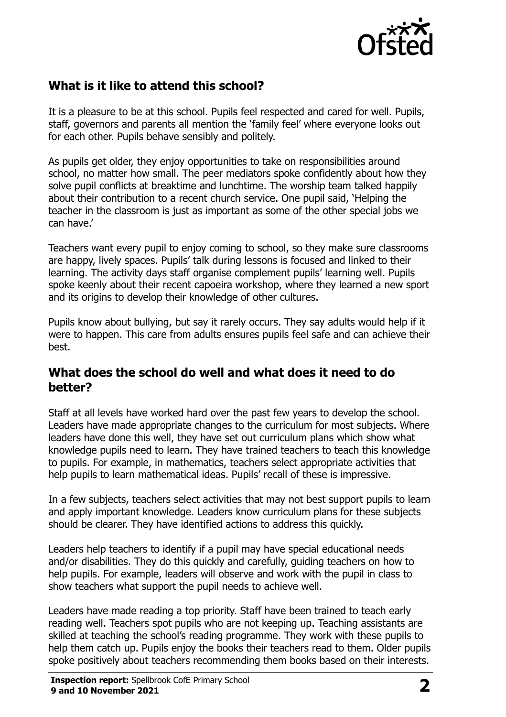

# **What is it like to attend this school?**

It is a pleasure to be at this school. Pupils feel respected and cared for well. Pupils, staff, governors and parents all mention the 'family feel' where everyone looks out for each other. Pupils behave sensibly and politely.

As pupils get older, they enjoy opportunities to take on responsibilities around school, no matter how small. The peer mediators spoke confidently about how they solve pupil conflicts at breaktime and lunchtime. The worship team talked happily about their contribution to a recent church service. One pupil said, 'Helping the teacher in the classroom is just as important as some of the other special jobs we can have.'

Teachers want every pupil to enjoy coming to school, so they make sure classrooms are happy, lively spaces. Pupils' talk during lessons is focused and linked to their learning. The activity days staff organise complement pupils' learning well. Pupils spoke keenly about their recent capoeira workshop, where they learned a new sport and its origins to develop their knowledge of other cultures.

Pupils know about bullying, but say it rarely occurs. They say adults would help if it were to happen. This care from adults ensures pupils feel safe and can achieve their best.

#### **What does the school do well and what does it need to do better?**

Staff at all levels have worked hard over the past few years to develop the school. Leaders have made appropriate changes to the curriculum for most subjects. Where leaders have done this well, they have set out curriculum plans which show what knowledge pupils need to learn. They have trained teachers to teach this knowledge to pupils. For example, in mathematics, teachers select appropriate activities that help pupils to learn mathematical ideas. Pupils' recall of these is impressive.

In a few subjects, teachers select activities that may not best support pupils to learn and apply important knowledge. Leaders know curriculum plans for these subjects should be clearer. They have identified actions to address this quickly.

Leaders help teachers to identify if a pupil may have special educational needs and/or disabilities. They do this quickly and carefully, guiding teachers on how to help pupils. For example, leaders will observe and work with the pupil in class to show teachers what support the pupil needs to achieve well.

Leaders have made reading a top priority. Staff have been trained to teach early reading well. Teachers spot pupils who are not keeping up. Teaching assistants are skilled at teaching the school's reading programme. They work with these pupils to help them catch up. Pupils enjoy the books their teachers read to them. Older pupils spoke positively about teachers recommending them books based on their interests.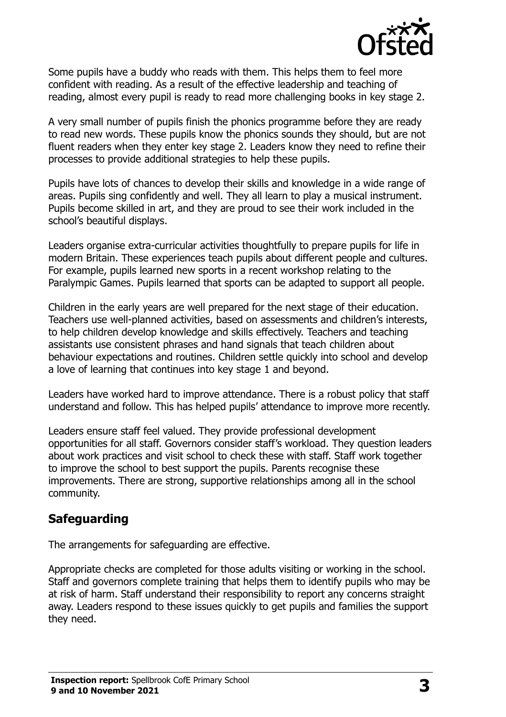

Some pupils have a buddy who reads with them. This helps them to feel more confident with reading. As a result of the effective leadership and teaching of reading, almost every pupil is ready to read more challenging books in key stage 2.

A very small number of pupils finish the phonics programme before they are ready to read new words. These pupils know the phonics sounds they should, but are not fluent readers when they enter key stage 2. Leaders know they need to refine their processes to provide additional strategies to help these pupils.

Pupils have lots of chances to develop their skills and knowledge in a wide range of areas. Pupils sing confidently and well. They all learn to play a musical instrument. Pupils become skilled in art, and they are proud to see their work included in the school's beautiful displays.

Leaders organise extra-curricular activities thoughtfully to prepare pupils for life in modern Britain. These experiences teach pupils about different people and cultures. For example, pupils learned new sports in a recent workshop relating to the Paralympic Games. Pupils learned that sports can be adapted to support all people.

Children in the early years are well prepared for the next stage of their education. Teachers use well-planned activities, based on assessments and children's interests, to help children develop knowledge and skills effectively. Teachers and teaching assistants use consistent phrases and hand signals that teach children about behaviour expectations and routines. Children settle quickly into school and develop a love of learning that continues into key stage 1 and beyond.

Leaders have worked hard to improve attendance. There is a robust policy that staff understand and follow. This has helped pupils' attendance to improve more recently.

Leaders ensure staff feel valued. They provide professional development opportunities for all staff. Governors consider staff's workload. They question leaders about work practices and visit school to check these with staff. Staff work together to improve the school to best support the pupils. Parents recognise these improvements. There are strong, supportive relationships among all in the school community.

#### **Safeguarding**

The arrangements for safeguarding are effective.

Appropriate checks are completed for those adults visiting or working in the school. Staff and governors complete training that helps them to identify pupils who may be at risk of harm. Staff understand their responsibility to report any concerns straight away. Leaders respond to these issues quickly to get pupils and families the support they need.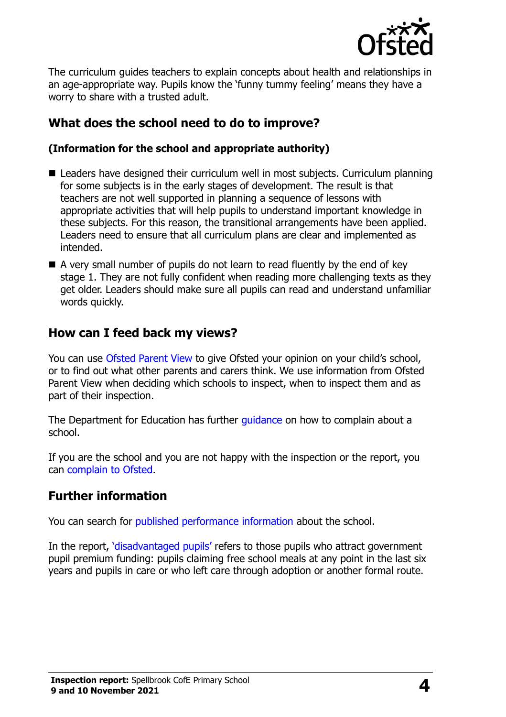

The curriculum guides teachers to explain concepts about health and relationships in an age-appropriate way. Pupils know the 'funny tummy feeling' means they have a worry to share with a trusted adult.

# **What does the school need to do to improve?**

#### **(Information for the school and appropriate authority)**

- Leaders have designed their curriculum well in most subjects. Curriculum planning for some subjects is in the early stages of development. The result is that teachers are not well supported in planning a sequence of lessons with appropriate activities that will help pupils to understand important knowledge in these subjects. For this reason, the transitional arrangements have been applied. Leaders need to ensure that all curriculum plans are clear and implemented as intended.
- A very small number of pupils do not learn to read fluently by the end of key stage 1. They are not fully confident when reading more challenging texts as they get older. Leaders should make sure all pupils can read and understand unfamiliar words quickly.

## **How can I feed back my views?**

You can use [Ofsted Parent View](http://parentview.ofsted.gov.uk/) to give Ofsted your opinion on your child's school, or to find out what other parents and carers think. We use information from Ofsted Parent View when deciding which schools to inspect, when to inspect them and as part of their inspection.

The Department for Education has further quidance on how to complain about a school.

If you are the school and you are not happy with the inspection or the report, you can [complain to Ofsted.](http://www.gov.uk/complain-ofsted-report)

## **Further information**

You can search for [published performance information](http://www.compare-school-performance.service.gov.uk/) about the school.

In the report, '[disadvantaged pupils](http://www.gov.uk/guidance/pupil-premium-information-for-schools-and-alternative-provision-settings)' refers to those pupils who attract government pupil premium funding: pupils claiming free school meals at any point in the last six years and pupils in care or who left care through adoption or another formal route.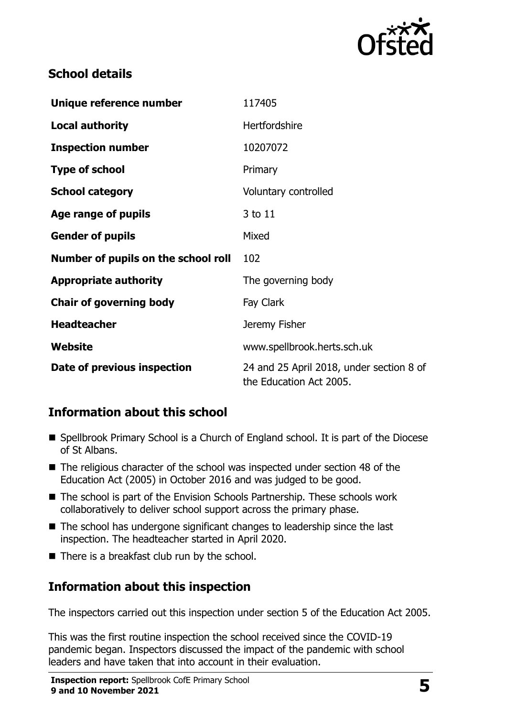

## **School details**

| Unique reference number             | 117405                                                              |
|-------------------------------------|---------------------------------------------------------------------|
| <b>Local authority</b>              | Hertfordshire                                                       |
| <b>Inspection number</b>            | 10207072                                                            |
| <b>Type of school</b>               | Primary                                                             |
| <b>School category</b>              | Voluntary controlled                                                |
| Age range of pupils                 | 3 to 11                                                             |
| <b>Gender of pupils</b>             | Mixed                                                               |
| Number of pupils on the school roll | 102                                                                 |
| <b>Appropriate authority</b>        | The governing body                                                  |
| <b>Chair of governing body</b>      | Fay Clark                                                           |
| <b>Headteacher</b>                  | Jeremy Fisher                                                       |
| Website                             | www.spellbrook.herts.sch.uk                                         |
| Date of previous inspection         | 24 and 25 April 2018, under section 8 of<br>the Education Act 2005. |

## **Information about this school**

- Spellbrook Primary School is a Church of England school. It is part of the Diocese of St Albans.
- The religious character of the school was inspected under section 48 of the Education Act (2005) in October 2016 and was judged to be good.
- The school is part of the Envision Schools Partnership. These schools work collaboratively to deliver school support across the primary phase.
- The school has undergone significant changes to leadership since the last inspection. The headteacher started in April 2020.
- $\blacksquare$  There is a breakfast club run by the school.

#### **Information about this inspection**

The inspectors carried out this inspection under section 5 of the Education Act 2005.

This was the first routine inspection the school received since the COVID-19 pandemic began. Inspectors discussed the impact of the pandemic with school leaders and have taken that into account in their evaluation.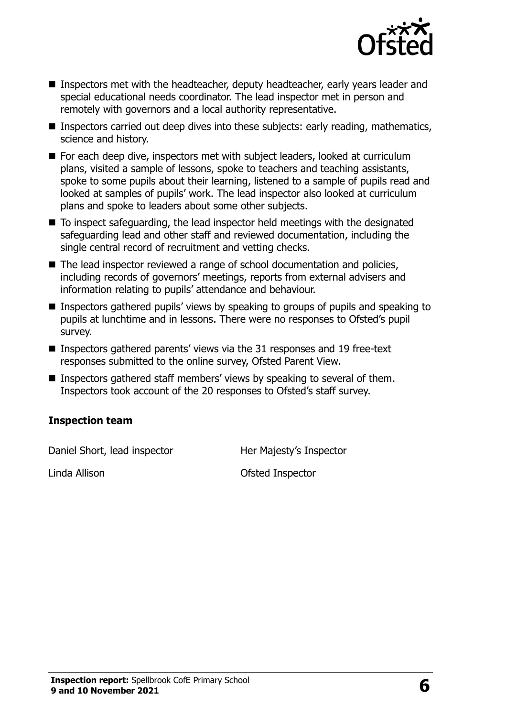

- Inspectors met with the headteacher, deputy headteacher, early years leader and special educational needs coordinator. The lead inspector met in person and remotely with governors and a local authority representative.
- **Inspectors carried out deep dives into these subjects: early reading, mathematics,** science and history.
- For each deep dive, inspectors met with subject leaders, looked at curriculum plans, visited a sample of lessons, spoke to teachers and teaching assistants, spoke to some pupils about their learning, listened to a sample of pupils read and looked at samples of pupils' work. The lead inspector also looked at curriculum plans and spoke to leaders about some other subjects.
- To inspect safeguarding, the lead inspector held meetings with the designated safeguarding lead and other staff and reviewed documentation, including the single central record of recruitment and vetting checks.
- The lead inspector reviewed a range of school documentation and policies, including records of governors' meetings, reports from external advisers and information relating to pupils' attendance and behaviour.
- Inspectors gathered pupils' views by speaking to groups of pupils and speaking to pupils at lunchtime and in lessons. There were no responses to Ofsted's pupil survey.
- **Inspectors gathered parents' views via the 31 responses and 19 free-text** responses submitted to the online survey, Ofsted Parent View.
- Inspectors gathered staff members' views by speaking to several of them. Inspectors took account of the 20 responses to Ofsted's staff survey.

#### **Inspection team**

Daniel Short, lead inspector **Her Majesty's Inspector** 

Linda Allison Ofsted Inspector